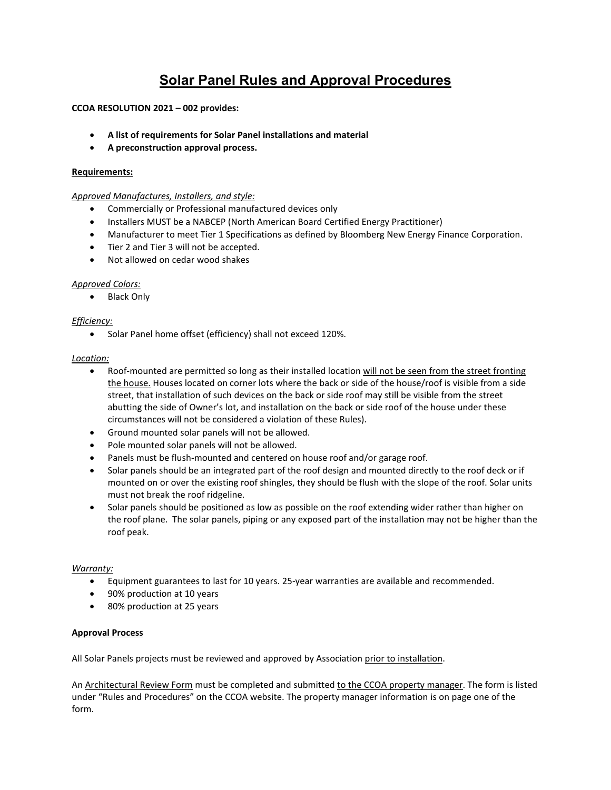# **Solar Panel Rules and Approval Procedures**

## **CCOA RESOLUTION 2021 – 002 provides:**

- **A list of requirements for Solar Panel installations and material**
- **A preconstruction approval process.**

## **Requirements:**

*Approved Manufactures, Installers, and style:* 

- Commercially or Professional manufactured devices only
- Installers MUST be a NABCEP (North American Board Certified Energy Practitioner)
- Manufacturer to meet Tier 1 Specifications as defined by Bloomberg New Energy Finance Corporation.
- Tier 2 and Tier 3 will not be accepted.
- Not allowed on cedar wood shakes

## *Approved Colors:*

• Black Only

## *Efficiency:*

• Solar Panel home offset (efficiency) shall not exceed 120%.

## *Location:*

- Roof-mounted are permitted so long as their installed location will not be seen from the street fronting the house. Houses located on corner lots where the back or side of the house/roof is visible from a side street, that installation of such devices on the back or side roof may still be visible from the street abutting the side of Owner's lot, and installation on the back or side roof of the house under these circumstances will not be considered a violation of these Rules).
- Ground mounted solar panels will not be allowed.
- Pole mounted solar panels will not be allowed.
- Panels must be flush-mounted and centered on house roof and/or garage roof.
- Solar panels should be an integrated part of the roof design and mounted directly to the roof deck or if mounted on or over the existing roof shingles, they should be flush with the slope of the roof. Solar units must not break the roof ridgeline.
- Solar panels should be positioned as low as possible on the roof extending wider rather than higher on the roof plane. The solar panels, piping or any exposed part of the installation may not be higher than the roof peak.

## *Warranty:*

- Equipment guarantees to last for 10 years. 25-year warranties are available and recommended.
- 90% production at 10 years
- 80% production at 25 years

## **Approval Process**

All Solar Panels projects must be reviewed and approved by Association prior to installation.

An Architectural Review Form must be completed and submitted to the CCOA property manager. The form is listed under "Rules and Procedures" on the CCOA website. The property manager information is on page one of the form.